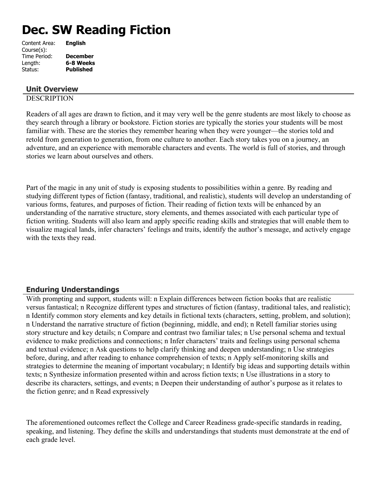# **Dec. SW Reading Fiction**

| Content Area: | <b>English</b>   |
|---------------|------------------|
| Course(s):    |                  |
| Time Period:  | <b>December</b>  |
| Length:       | 6-8 Weeks        |
| Status:       | <b>Published</b> |
|               |                  |

## **Unit Overview**

## **DESCRIPTION**

Readers of all ages are drawn to fiction, and it may very well be the genre students are most likely to choose as they search through a library or bookstore. Fiction stories are typically the stories your students will be most familiar with. These are the stories they remember hearing when they were younger—the stories told and retold from generation to generation, from one culture to another. Each story takes you on a journey, an adventure, and an experience with memorable characters and events. The world is full of stories, and through stories we learn about ourselves and others.

Part of the magic in any unit of study is exposing students to possibilities within a genre. By reading and studying different types of fiction (fantasy, traditional, and realistic), students will develop an understanding of various forms, features, and purposes of fiction. Their reading of fiction texts will be enhanced by an understanding of the narrative structure, story elements, and themes associated with each particular type of fiction writing. Students will also learn and apply specific reading skills and strategies that will enable them to visualize magical lands, infer characters' feelings and traits, identify the author's message, and actively engage with the texts they read.

# **Enduring Understandings**

With prompting and support, students will: n Explain differences between fiction books that are realistic versus fantastical; n Recognize different types and structures of fiction (fantasy, traditional tales, and realistic); n Identify common story elements and key details in fictional texts (characters, setting, problem, and solution); n Understand the narrative structure of fiction (beginning, middle, and end); n Retell familiar stories using story structure and key details; n Compare and contrast two familiar tales; n Use personal schema and textual evidence to make predictions and connections; n Infer characters' traits and feelings using personal schema and textual evidence; n Ask questions to help clarify thinking and deepen understanding; n Use strategies before, during, and after reading to enhance comprehension of texts; n Apply self-monitoring skills and strategies to determine the meaning of important vocabulary; n Identify big ideas and supporting details within texts; n Synthesize information presented within and across fiction texts; n Use illustrations in a story to describe its characters, settings, and events; n Deepen their understanding of author's purpose as it relates to the fiction genre; and n Read expressively

The aforementioned outcomes reflect the College and Career Readiness grade-specific standards in reading, speaking, and listening. They define the skills and understandings that students must demonstrate at the end of each grade level.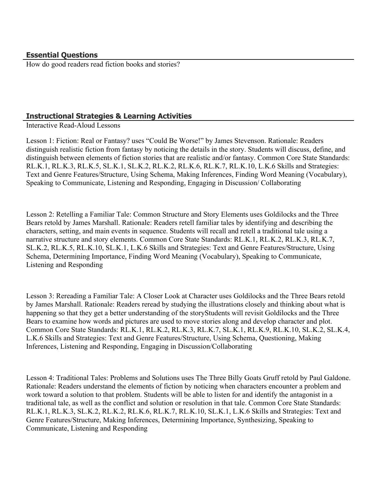### **Essential Questions**

How do good readers read fiction books and stories?

## **Instructional Strategies & Learning Activities**

Interactive Read-Aloud Lessons

Lesson 1: Fiction: Real or Fantasy? uses "Could Be Worse!" by James Stevenson. Rationale: Readers distinguish realistic fiction from fantasy by noticing the details in the story. Students will discuss, define, and distinguish between elements of fiction stories that are realistic and/or fantasy. Common Core State Standards: RL.K.1, RL.K.3, RL.K.5, SL.K.1, SL.K.2, RL.K.2, RL.K.6, RL.K.7, RL.K.10, L.K.6 Skills and Strategies: Text and Genre Features/Structure, Using Schema, Making Inferences, Finding Word Meaning (Vocabulary), Speaking to Communicate, Listening and Responding, Engaging in Discussion/ Collaborating

Lesson 2: Retelling a Familiar Tale: Common Structure and Story Elements uses Goldilocks and the Three Bears retold by James Marshall. Rationale: Readers retell familiar tales by identifying and describing the characters, setting, and main events in sequence. Students will recall and retell a traditional tale using a narrative structure and story elements. Common Core State Standards: RL.K.1, RL.K.2, RL.K.3, RL.K.7, SL.K.2, RL.K.5, RL.K.10, SL.K.1, L.K.6 Skills and Strategies: Text and Genre Features/Structure, Using Schema, Determining Importance, Finding Word Meaning (Vocabulary), Speaking to Communicate, Listening and Responding

Lesson 3: Rereading a Familiar Tale: A Closer Look at Character uses Goldilocks and the Three Bears retold by James Marshall. Rationale: Readers reread by studying the illustrations closely and thinking about what is happening so that they get a better understanding of the storyStudents will revisit Goldilocks and the Three Bears to examine how words and pictures are used to move stories along and develop character and plot. Common Core State Standards: RL.K.1, RL.K.2, RL.K.3, RL.K.7, SL.K.1, RL.K.9, RL.K.10, SL.K.2, SL.K.4, L.K.6 Skills and Strategies: Text and Genre Features/Structure, Using Schema, Questioning, Making Inferences, Listening and Responding, Engaging in Discussion/Collaborating

Lesson 4: Traditional Tales: Problems and Solutions uses The Three Billy Goats Gruff retold by Paul Galdone. Rationale: Readers understand the elements of fiction by noticing when characters encounter a problem and work toward a solution to that problem. Students will be able to listen for and identify the antagonist in a traditional tale, as well as the conflict and solution or resolution in that tale. Common Core State Standards: RL.K.1, RL.K.3, SL.K.2, RL.K.2, RL.K.6, RL.K.7, RL.K.10, SL.K.1, L.K.6 Skills and Strategies: Text and Genre Features/Structure, Making Inferences, Determining Importance, Synthesizing, Speaking to Communicate, Listening and Responding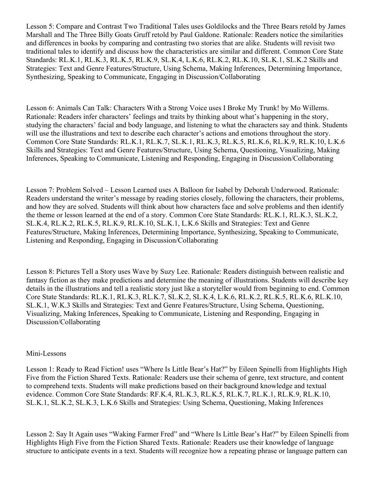Lesson 5: Compare and Contrast Two Traditional Tales uses Goldilocks and the Three Bears retold by James Marshall and The Three Billy Goats Gruff retold by Paul Galdone. Rationale: Readers notice the similarities and differences in books by comparing and contrasting two stories that are alike. Students will revisit two traditional tales to identify and discuss how the characteristics are similar and different. Common Core State Standards: RL.K.1, RL.K.3, RL.K.5, RL.K.9, SL.K.4, L.K.6, RL.K.2, RL.K.10, SL.K.1, SL.K.2 Skills and Strategies: Text and Genre Features/Structure, Using Schema, Making Inferences, Determining Importance, Synthesizing, Speaking to Communicate, Engaging in Discussion/Collaborating

Lesson 6: Animals Can Talk: Characters With a Strong Voice uses I Broke My Trunk! by Mo Willems. Rationale: Readers infer characters' feelings and traits by thinking about what's happening in the story, studying the characters' facial and body language, and listening to what the characters say and think. Students will use the illustrations and text to describe each character's actions and emotions throughout the story. Common Core State Standards: RL.K.1, RL.K.7, SL.K.1, RL.K.3, RL.K.5, RL.K.6, RL.K.9, RL.K.10, L.K.6 Skills and Strategies: Text and Genre Features/Structure, Using Schema, Questioning, Visualizing, Making Inferences, Speaking to Communicate, Listening and Responding, Engaging in Discussion/Collaborating

Lesson 7: Problem Solved – Lesson Learned uses A Balloon for Isabel by Deborah Underwood. Rationale: Readers understand the writer's message by reading stories closely, following the characters, their problems, and how they are solved. Students will think about how characters face and solve problems and then identify the theme or lesson learned at the end of a story. Common Core State Standards: RL.K.1, RL.K.3, SL.K.2, SL.K.4, RL.K.2, RL.K.5, RL.K.9, RL.K.10, SL.K.1, L.K.6 Skills and Strategies: Text and Genre Features/Structure, Making Inferences, Determining Importance, Synthesizing, Speaking to Communicate, Listening and Responding, Engaging in Discussion/Collaborating

Lesson 8: Pictures Tell a Story uses Wave by Suzy Lee. Rationale: Readers distinguish between realistic and fantasy fiction as they make predictions and determine the meaning of illustrations. Students will describe key details in the illustrations and tell a realistic story just like a storyteller would from beginning to end. Common Core State Standards: RL.K.1, RL.K.3, RL.K.7, SL.K.2, SL.K.4, L.K.6, RL.K.2, RL.K.5, RL.K.6, RL.K.10, SL.K.1, W.K.3 Skills and Strategies: Text and Genre Features/Structure, Using Schema, Questioning, Visualizing, Making Inferences, Speaking to Communicate, Listening and Responding, Engaging in Discussion/Collaborating

#### Mini-Lessons

Lesson 1: Ready to Read Fiction! uses "Where Is Little Bear's Hat?" by Eileen Spinelli from Highlights High Five from the Fiction Shared Texts. Rationale: Readers use their schema of genre, text structure, and content to comprehend texts. Students will make predictions based on their background knowledge and textual evidence. Common Core State Standards: RF.K.4, RL.K.3, RL.K.5, RL.K.7, RL.K.1, RL.K.9, RL.K.10, SL.K.1, SL.K.2, SL.K.3, L.K.6 Skills and Strategies: Using Schema, Questioning, Making Inferences

Lesson 2: Say It Again uses "Waking Farmer Fred" and "Where Is Little Bear's Hat?" by Eileen Spinelli from Highlights High Five from the Fiction Shared Texts. Rationale: Readers use their knowledge of language structure to anticipate events in a text. Students will recognize how a repeating phrase or language pattern can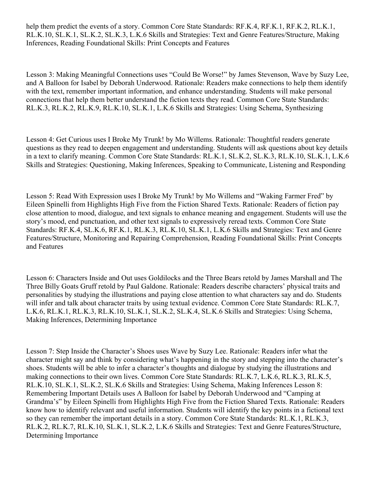help them predict the events of a story. Common Core State Standards: RF.K.4, RF.K.1, RF.K.2, RL.K.1, RL.K.10, SL.K.1, SL.K.2, SL.K.3, L.K.6 Skills and Strategies: Text and Genre Features/Structure, Making Inferences, Reading Foundational Skills: Print Concepts and Features

Lesson 3: Making Meaningful Connections uses "Could Be Worse!" by James Stevenson, Wave by Suzy Lee, and A Balloon for Isabel by Deborah Underwood. Rationale: Readers make connections to help them identify with the text, remember important information, and enhance understanding. Students will make personal connections that help them better understand the fiction texts they read. Common Core State Standards: RL.K.3, RL.K.2, RL.K.9, RL.K.10, SL.K.1, L.K.6 Skills and Strategies: Using Schema, Synthesizing

Lesson 4: Get Curious uses I Broke My Trunk! by Mo Willems. Rationale: Thoughtful readers generate questions as they read to deepen engagement and understanding. Students will ask questions about key details in a text to clarify meaning. Common Core State Standards: RL.K.1, SL.K.2, SL.K.3, RL.K.10, SL.K.1, L.K.6 Skills and Strategies: Questioning, Making Inferences, Speaking to Communicate, Listening and Responding

Lesson 5: Read With Expression uses I Broke My Trunk! by Mo Willems and "Waking Farmer Fred" by Eileen Spinelli from Highlights High Five from the Fiction Shared Texts. Rationale: Readers of fiction pay close attention to mood, dialogue, and text signals to enhance meaning and engagement. Students will use the story's mood, end punctuation, and other text signals to expressively reread texts. Common Core State Standards: RF.K.4, SL.K.6, RF.K.1, RL.K.3, RL.K.10, SL.K.1, L.K.6 Skills and Strategies: Text and Genre Features/Structure, Monitoring and Repairing Comprehension, Reading Foundational Skills: Print Concepts and Features

Lesson 6: Characters Inside and Out uses Goldilocks and the Three Bears retold by James Marshall and The Three Billy Goats Gruff retold by Paul Galdone. Rationale: Readers describe characters' physical traits and personalities by studying the illustrations and paying close attention to what characters say and do. Students will infer and talk about character traits by using textual evidence. Common Core State Standards: RL.K.7, L.K.6, RL.K.1, RL.K.3, RL.K.10, SL.K.1, SL.K.2, SL.K.4, SL.K.6 Skills and Strategies: Using Schema, Making Inferences, Determining Importance

Lesson 7: Step Inside the Character's Shoes uses Wave by Suzy Lee. Rationale: Readers infer what the character might say and think by considering what's happening in the story and stepping into the character's shoes. Students will be able to infer a character's thoughts and dialogue by studying the illustrations and making connections to their own lives. Common Core State Standards: RL.K.7, L.K.6, RL.K.3, RL.K.5, RL.K.10, SL.K.1, SL.K.2, SL.K.6 Skills and Strategies: Using Schema, Making Inferences Lesson 8: Remembering Important Details uses A Balloon for Isabel by Deborah Underwood and "Camping at Grandma's" by Eileen Spinelli from Highlights High Five from the Fiction Shared Texts. Rationale: Readers know how to identify relevant and useful information. Students will identify the key points in a fictional text so they can remember the important details in a story. Common Core State Standards: RL.K.1, RL.K.3, RL.K.2, RL.K.7, RL.K.10, SL.K.1, SL.K.2, L.K.6 Skills and Strategies: Text and Genre Features/Structure, Determining Importance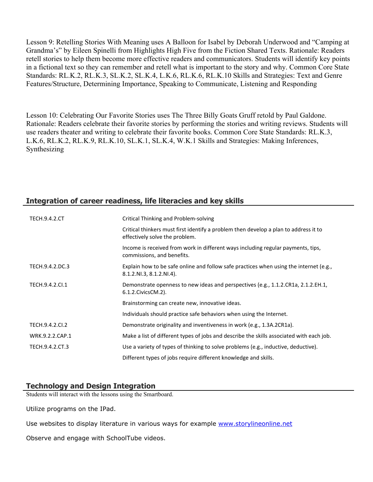Lesson 9: Retelling Stories With Meaning uses A Balloon for Isabel by Deborah Underwood and "Camping at Grandma's" by Eileen Spinelli from Highlights High Five from the Fiction Shared Texts. Rationale: Readers retell stories to help them become more effective readers and communicators. Students will identify key points in a fictional text so they can remember and retell what is important to the story and why. Common Core State Standards: RL.K.2, RL.K.3, SL.K.2, SL.K.4, L.K.6, RL.K.6, RL.K.10 Skills and Strategies: Text and Genre Features/Structure, Determining Importance, Speaking to Communicate, Listening and Responding

Lesson 10: Celebrating Our Favorite Stories uses The Three Billy Goats Gruff retold by Paul Galdone. Rationale: Readers celebrate their favorite stories by performing the stories and writing reviews. Students will use readers theater and writing to celebrate their favorite books. Common Core State Standards: RL.K.3, L.K.6, RL.K.2, RL.K.9, RL.K.10, SL.K.1, SL.K.4, W.K.1 Skills and Strategies: Making Inferences, Synthesizing

# **Integration of career readiness, life literacies and key skills**

| <b>TECH.9.4.2.CT</b> | Critical Thinking and Problem-solving                                                                                  |
|----------------------|------------------------------------------------------------------------------------------------------------------------|
|                      | Critical thinkers must first identify a problem then develop a plan to address it to<br>effectively solve the problem. |
|                      | Income is received from work in different ways including regular payments, tips,<br>commissions, and benefits.         |
| TECH.9.4.2.DC.3      | Explain how to be safe online and follow safe practices when using the internet (e.g.,<br>$8.1.2.NI.3, 8.1.2.NI.4$ .   |
| TECH.9.4.2.Cl.1      | Demonstrate openness to new ideas and perspectives (e.g., 1.1.2.CR1a, 2.1.2.EH.1,<br>6.1.2. Civics CM. 2).             |
|                      | Brainstorming can create new, innovative ideas.                                                                        |
|                      | Individuals should practice safe behaviors when using the Internet.                                                    |
| TECH.9.4.2.CI.2      | Demonstrate originality and inventiveness in work (e.g., 1.3A.2CR1a).                                                  |
| WRK.9.2.2.CAP.1      | Make a list of different types of jobs and describe the skills associated with each job.                               |
| TECH.9.4.2.CT.3      | Use a variety of types of thinking to solve problems (e.g., inductive, deductive).                                     |
|                      | Different types of jobs require different knowledge and skills.                                                        |

### **Technology and Design Integration**

Students will interact with the lessons using the Smartboard.

Utilize programs on the IPad.

Use websites to display literature in various ways for example [www.storylineonline.net](http://www.storylineonline.net/)

Observe and engage with SchoolTube videos.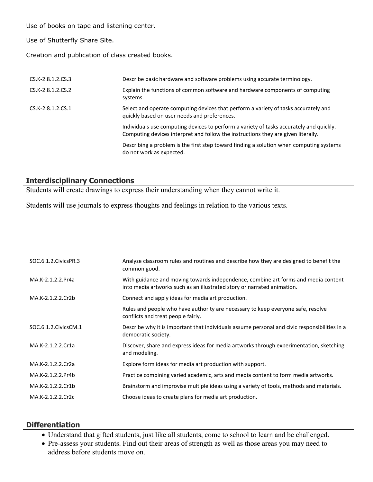Use of books on tape and listening center.

Use of Shutterfly Share Site.

Creation and publication of class created books.

| CS.K-2.8.1.2.CS.3 | Describe basic hardware and software problems using accurate terminology.                                                                                                    |
|-------------------|------------------------------------------------------------------------------------------------------------------------------------------------------------------------------|
| CS.K-2.8.1.2.CS.2 | Explain the functions of common software and hardware components of computing<br>systems.                                                                                    |
| CS.K-2.8.1.2.CS.1 | Select and operate computing devices that perform a variety of tasks accurately and<br>quickly based on user needs and preferences.                                          |
|                   | Individuals use computing devices to perform a variety of tasks accurately and quickly.<br>Computing devices interpret and follow the instructions they are given literally. |
|                   | Describing a problem is the first step toward finding a solution when computing systems<br>do not work as expected.                                                          |

## **Interdisciplinary Connections**

Students will create drawings to express their understanding when they cannot write it.

Students will use journals to express thoughts and feelings in relation to the various texts.

| SOC.6.1.2. Civics PR.3 | Analyze classroom rules and routines and describe how they are designed to benefit the<br>common good.                                                        |
|------------------------|---------------------------------------------------------------------------------------------------------------------------------------------------------------|
| MA.K-2.1.2.2.Pr4a      | With guidance and moving towards independence, combine art forms and media content<br>into media artworks such as an illustrated story or narrated animation. |
| MA.K-2.1.2.2.Cr2b      | Connect and apply ideas for media art production.                                                                                                             |
|                        | Rules and people who have authority are necessary to keep everyone safe, resolve<br>conflicts and treat people fairly.                                        |
| SOC.6.1.2. Civics CM.1 | Describe why it is important that individuals assume personal and civic responsibilities in a<br>democratic society.                                          |
| MA.K-2.1.2.2.Cr1a      | Discover, share and express ideas for media artworks through experimentation, sketching<br>and modeling.                                                      |
| MA.K-2.1.2.2.Cr2a      | Explore form ideas for media art production with support.                                                                                                     |
| MA.K-2.1.2.2.Pr4b      | Practice combining varied academic, arts and media content to form media artworks.                                                                            |
| MA.K-2.1.2.2.Cr1b      | Brainstorm and improvise multiple ideas using a variety of tools, methods and materials.                                                                      |
| MA.K-2.1.2.2.Cr2c      | Choose ideas to create plans for media art production.                                                                                                        |

### **Differentiation**

- Understand that gifted students, just like all students, come to school to learn and be challenged.
- Pre-assess your students. Find out their areas of strength as well as those areas you may need to address before students move on.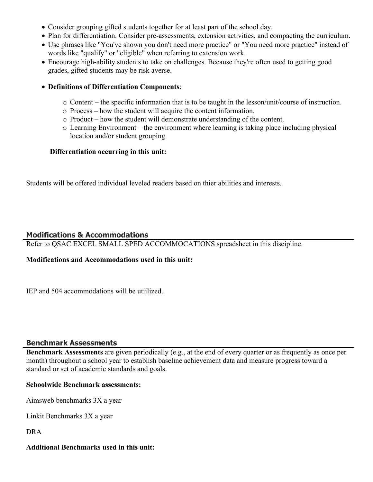- Consider grouping gifted students together for at least part of the school day.
- Plan for differentiation. Consider pre-assessments, extension activities, and compacting the curriculum.
- Use phrases like "You've shown you don't need more practice" or "You need more practice" instead of words like "qualify" or "eligible" when referring to extension work.
- Encourage high-ability students to take on challenges. Because they're often used to getting good grades, gifted students may be risk averse.
- **Definitions of Differentiation Components**:
	- $\circ$  Content the specific information that is to be taught in the lesson/unit/course of instruction.
	- o Process how the student will acquire the content information.
	- o Product how the student will demonstrate understanding of the content.
	- o Learning Environment the environment where learning is taking place including physical location and/or student grouping

## **Differentiation occurring in this unit:**

Students will be offered individual leveled readers based on thier abilities and interests.

## **Modifications & Accommodations**

Refer to QSAC EXCEL SMALL SPED ACCOMMOCATIONS spreadsheet in this discipline.

### **Modifications and Accommodations used in this unit:**

IEP and 504 accommodations will be utiilized.

### **Benchmark Assessments**

**Benchmark Assessments** are given periodically (e.g., at the end of every quarter or as frequently as once per month) throughout a school year to establish baseline achievement data and measure progress toward a standard or set of academic standards and goals.

### **Schoolwide Benchmark assessments:**

Aimsweb benchmarks 3X a year

Linkit Benchmarks 3X a year

DRA

# **Additional Benchmarks used in this unit:**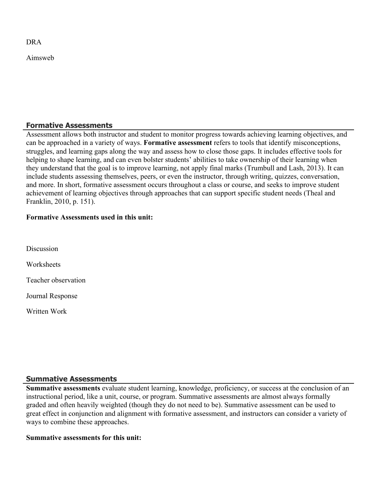DRA

Aimsweb

# **Formative Assessments**

Assessment allows both instructor and student to monitor progress towards achieving learning objectives, and can be approached in a variety of ways. **Formative assessment** refers to tools that identify misconceptions, struggles, and learning gaps along the way and assess how to close those gaps. It includes effective tools for helping to shape learning, and can even bolster students' abilities to take ownership of their learning when they understand that the goal is to improve learning, not apply final marks (Trumbull and Lash, 2013). It can include students assessing themselves, peers, or even the instructor, through writing, quizzes, conversation, and more. In short, formative assessment occurs throughout a class or course, and seeks to improve student achievement of learning objectives through approaches that can support specific student needs (Theal and Franklin, 2010, p. 151).

## **Formative Assessments used in this unit:**

**Discussion** 

**Worksheets** 

Teacher observation

Journal Response

Written Work

# **Summative Assessments**

**Summative assessments** evaluate student learning, knowledge, proficiency, or success at the conclusion of an instructional period, like a unit, course, or program. Summative assessments are almost always formally graded and often heavily weighted (though they do not need to be). Summative assessment can be used to great effect in conjunction and alignment with formative assessment, and instructors can consider a variety of ways to combine these approaches.

# **Summative assessments for this unit:**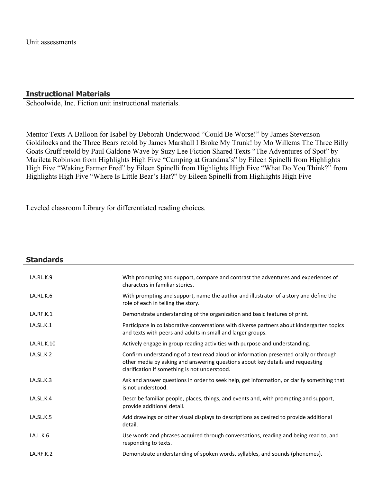Unit assessments

#### **Instructional Materials**

Schoolwide, Inc. Fiction unit instructional materials.

Mentor Texts A Balloon for Isabel by Deborah Underwood "Could Be Worse!" by James Stevenson Goldilocks and the Three Bears retold by James Marshall I Broke My Trunk! by Mo Willems The Three Billy Goats Gruff retold by Paul Galdone Wave by Suzy Lee Fiction Shared Texts "The Adventures of Spot" by Marileta Robinson from Highlights High Five "Camping at Grandma's" by Eileen Spinelli from Highlights High Five "Waking Farmer Fred" by Eileen Spinelli from Highlights High Five "What Do You Think?" from Highlights High Five "Where Is Little Bear's Hat?" by Eileen Spinelli from Highlights High Five

Leveled classroom Library for differentiated reading choices.

| <b>Standards</b> |                                                                                                                                                                                                                          |
|------------------|--------------------------------------------------------------------------------------------------------------------------------------------------------------------------------------------------------------------------|
| LA.RL.K.9        | With prompting and support, compare and contrast the adventures and experiences of<br>characters in familiar stories.                                                                                                    |
| LA.RL.K.6        | With prompting and support, name the author and illustrator of a story and define the<br>role of each in telling the story.                                                                                              |
| LA.RF.K.1        | Demonstrate understanding of the organization and basic features of print.                                                                                                                                               |
| LA.SL.K.1        | Participate in collaborative conversations with diverse partners about kindergarten topics<br>and texts with peers and adults in small and larger groups.                                                                |
| LA.RL.K.10       | Actively engage in group reading activities with purpose and understanding.                                                                                                                                              |
| LA.SL.K.2        | Confirm understanding of a text read aloud or information presented orally or through<br>other media by asking and answering questions about key details and requesting<br>clarification if something is not understood. |
| LA.SL.K.3        | Ask and answer questions in order to seek help, get information, or clarify something that<br>is not understood.                                                                                                         |
| LA.SL.K.4        | Describe familiar people, places, things, and events and, with prompting and support,<br>provide additional detail.                                                                                                      |
| LA.SL.K.5        | Add drawings or other visual displays to descriptions as desired to provide additional<br>detail.                                                                                                                        |
| LA.L.K.6         | Use words and phrases acquired through conversations, reading and being read to, and<br>responding to texts.                                                                                                             |
| LA.RF.K.2        | Demonstrate understanding of spoken words, syllables, and sounds (phonemes).                                                                                                                                             |
|                  |                                                                                                                                                                                                                          |